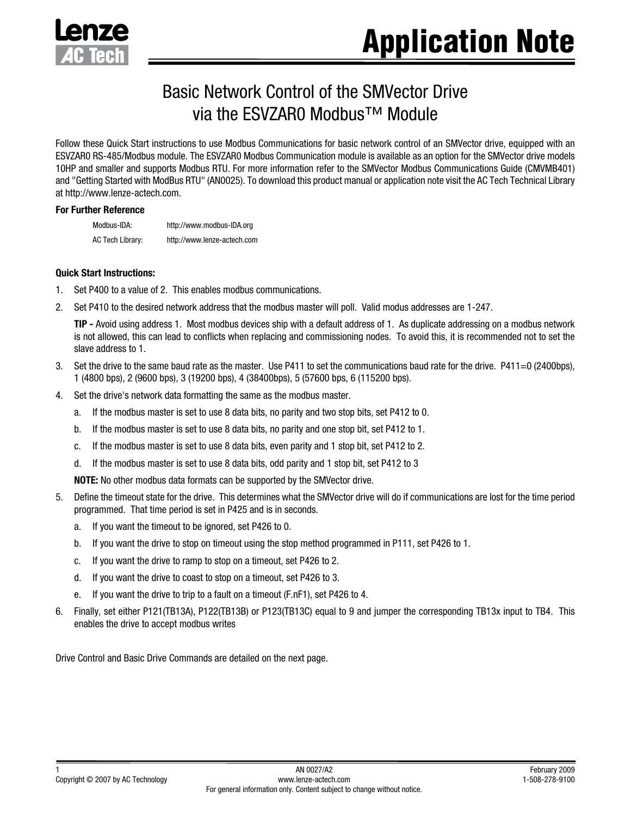

# Basic Network Control of the SMVector Drive via the ESVZAR0 Modbus™ Module

Follow these Quick Start instructions to use Modbus Communications for basic network control of an SMVector drive, equipped with an ESVZAR0 RS-485/Modbus module. The ESVZAR0 Modbus Communication module is available as an option for the SMVector drive models 10HP and smaller and supports Modbus RTU. For more information refer to the SMVector Modbus Communications Guide (CMVMB401) and "Getting Started with ModBus RTU" (AN0025). To download this product manual or application note visit the AC Tech Technical Library at http://www.lenze-actech.com.

#### **For Further Reference**

Modbus-IDA: http://www.modbus-IDA.org AC Tech Library: http://www.lenze-actech.com

#### **Quick Start Instructions:**

- 1. Set P400 to a value of 2. This enables modbus communications.
- 2. Set P410 to the desired network address that the modbus master will poll. Valid modus addresses are 1-247.

**TIP -** Avoid using address 1. Most modbus devices ship with a default address of 1. As duplicate addressing on a modbus network is not allowed, this can lead to conflicts when replacing and commissioning nodes. To avoid this, it is recommended not to set the slave address to 1.

- 3. Set the drive to the same baud rate as the master. Use P411 to set the communications baud rate for the drive. P411=0 (2400bps), 1 (4800 bps), 2 (9600 bps), 3 (19200 bps), 4 (38400bps), 5 (57600 bps, 6 (115200 bps).
- 4. Set the drive's network data formatting the same as the modbus master.
	- a. If the modbus master is set to use 8 data bits, no parity and two stop bits, set P412 to 0.
	- b. If the modbus master is set to use 8 data bits, no parity and one stop bit, set P412 to 1.
	- c. If the modbus master is set to use 8 data bits, even parity and 1 stop bit, set P412 to 2.
	- d. If the modbus master is set to use 8 data bits, odd parity and 1 stop bit, set P412 to 3

**NOTE:** No other modbus data formats can be supported by the SMVector drive.

- 5. Define the timeout state for the drive. This determines what the SMVector drive will do if communications are lost for the time period programmed. That time period is set in P425 and is in seconds.
	- a. If you want the timeout to be ignored, set P426 to 0.
	- b. If you want the drive to stop on timeout using the stop method programmed in P111, set P426 to 1.
	- c. If you want the drive to ramp to stop on a timeout, set P426 to 2.
	- d. If you want the drive to coast to stop on a timeout, set P426 to 3.
	- e. If you want the drive to trip to a fault on a timeout (F.nF1), set P426 to 4.
- 6. Finally, set either P121(TB13A), P122(TB13B) or P123(TB13C) equal to 9 and jumper the corresponding TB13x input to TB4. This enables the drive to accept modbus writes

Drive Control and Basic Drive Commands are detailed on the next page.